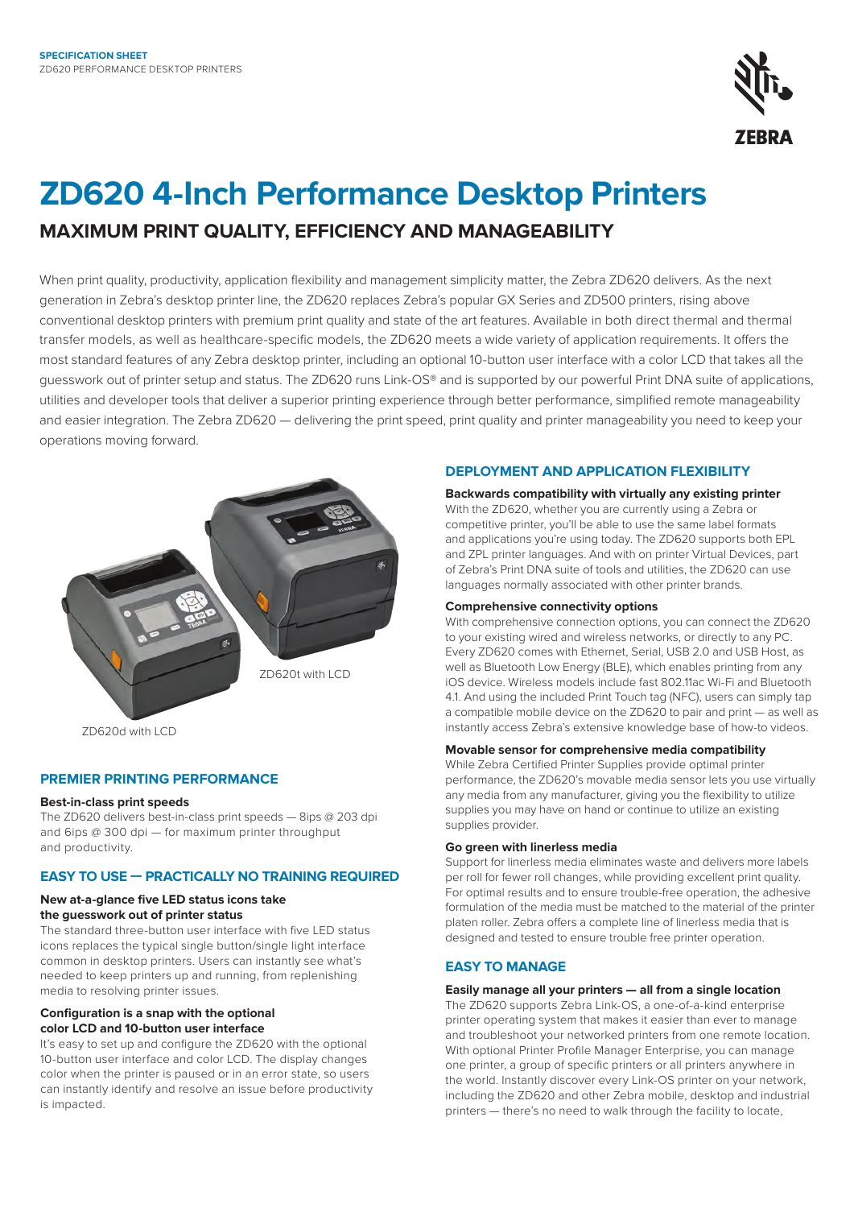

# **ZD620 4-Inch Performance Desktop Printers MAXIMUM PRINT QUALITY, EFFICIENCY AND MANAGEABILITY**

When print quality, productivity, application flexibility and management simplicity matter, the Zebra ZD620 delivers. As the next generation in Zebra's desktop printer line, the ZD620 replaces Zebra's popular GX Series and ZD500 printers, rising above conventional desktop printers with premium print quality and state of the art features. Available in both direct thermal and thermal transfer models, as well as healthcare-specific models, the ZD620 meets a wide variety of application requirements. It offers the most standard features of any Zebra desktop printer, including an optional 10-button user interface with a color LCD that takes all the guesswork out of printer setup and status. The ZD620 runs Link-OS® and is supported by our powerful Print DNA suite of applications, utilities and developer tools that deliver a superior printing experience through better performance, simplified remote manageability and easier integration. The Zebra ZD620 — delivering the print speed, print quality and printer manageability you need to keep your operations moving forward.



ZD620d with LCD

## **PREMIER PRINTING PERFORMANCE**

#### **Best-in-class print speeds**

The ZD620 delivers best-in-class print speeds — 8ips @ 203 dpi and 6ips @ 300 dpi — for maximum printer throughput and productivity.

## **EASY TO USE — PRACTICALLY NO TRAINING REQUIRED**

## **New at-a-glance five LED status icons take the guesswork out of printer status**

The standard three-button user interface with five LED status icons replaces the typical single button/single light interface common in desktop printers. Users can instantly see what's needed to keep printers up and running, from replenishing media to resolving printer issues.

#### **Configuration is a snap with the optional color LCD and 10-button user interface**

It's easy to set up and configure the ZD620 with the optional 10-button user interface and color LCD. The display changes color when the printer is paused or in an error state, so users can instantly identify and resolve an issue before productivity is impacted.

## **DEPLOYMENT AND APPLICATION FLEXIBILITY**

**Backwards compatibility with virtually any existing printer** With the ZD620, whether you are currently using a Zebra or competitive printer, you'll be able to use the same label formats and applications you're using today. The ZD620 supports both EPL and ZPL printer languages. And with on printer Virtual Devices, part of Zebra's Print DNA suite of tools and utilities, the ZD620 can use languages normally associated with other printer brands.

#### **Comprehensive connectivity options**

With comprehensive connection options, you can connect the ZD620 to your existing wired and wireless networks, or directly to any PC. Every ZD620 comes with Ethernet, Serial, USB 2.0 and USB Host, as well as Bluetooth Low Energy (BLE), which enables printing from any iOS device. Wireless models include fast 802.11ac Wi-Fi and Bluetooth 4.1. And using the included Print Touch tag (NFC), users can simply tap a compatible mobile device on the ZD620 to pair and print — as well as instantly access Zebra's extensive knowledge base of how-to videos.

### **Movable sensor for comprehensive media compatibility**

While Zebra Certified Printer Supplies provide optimal printer performance, the ZD620's movable media sensor lets you use virtually any media from any manufacturer, giving you the flexibility to utilize supplies you may have on hand or continue to utilize an existing supplies provider.

#### **Go green with linerless media**

Support for linerless media eliminates waste and delivers more labels per roll for fewer roll changes, while providing excellent print quality. For optimal results and to ensure trouble-free operation, the adhesive formulation of the media must be matched to the material of the printer platen roller. Zebra offers a complete line of linerless media that is designed and tested to ensure trouble free printer operation.

## **EASY TO MANAGE**

#### **Easily manage all your printers — all from a single location**

The ZD620 supports Zebra Link-OS, a one-of-a-kind enterprise printer operating system that makes it easier than ever to manage and troubleshoot your networked printers from one remote location. With optional Printer Profile Manager Enterprise, you can manage one printer, a group of specific printers or all printers anywhere in the world. Instantly discover every Link-OS printer on your network, including the ZD620 and other Zebra mobile, desktop and industrial printers — there's no need to walk through the facility to locate,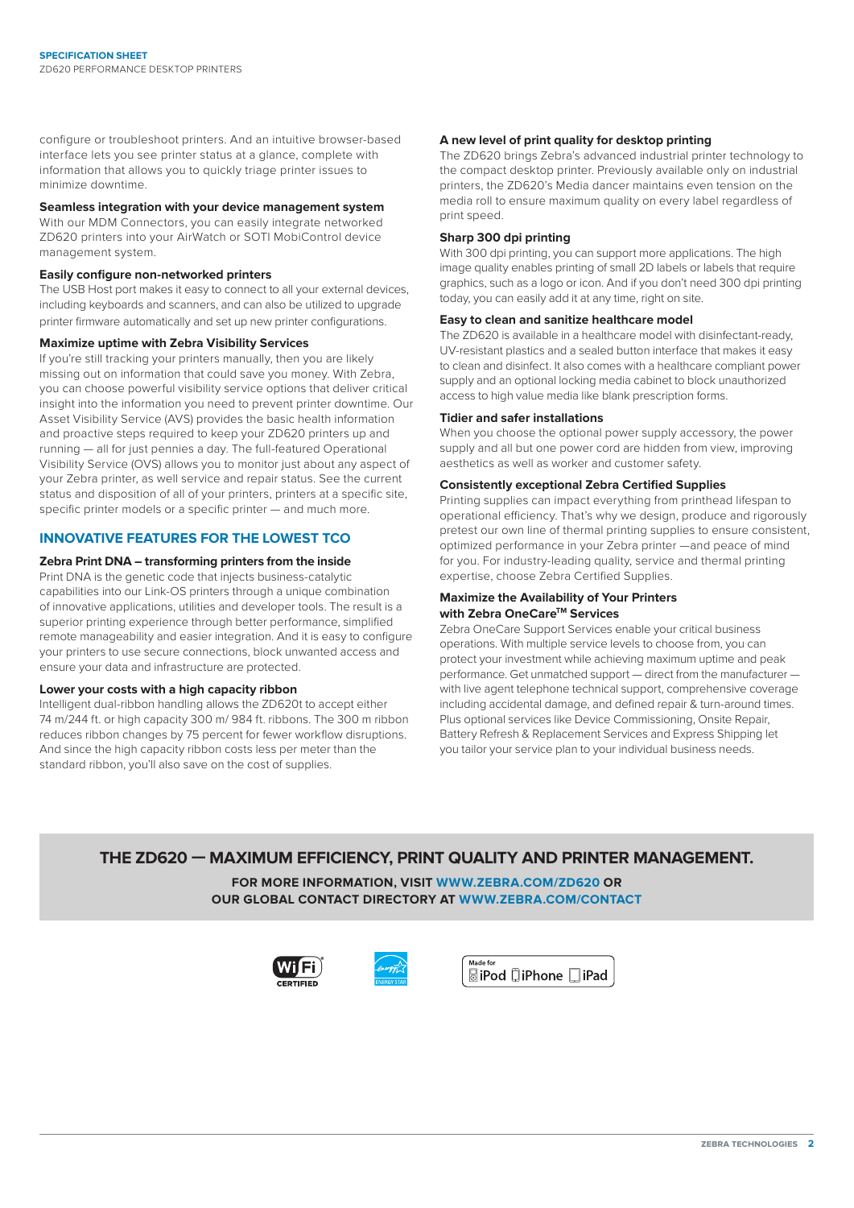configure or troubleshoot printers. And an intuitive browser-based interface lets you see printer status at a glance, complete with information that allows you to quickly triage printer issues to minimize downtime.

## **Seamless integration with your device management system**

With our MDM Connectors, you can easily integrate networked ZD620 printers into your AirWatch or SOTI MobiControl device management system.

#### **Easily configure non-networked printers**

The USB Host port makes it easy to connect to all your external devices, including keyboards and scanners, and can also be utilized to upgrade printer firmware automatically and set up new printer configurations.

#### **Maximize uptime with Zebra Visibility Services**

If you're still tracking your printers manually, then you are likely missing out on information that could save you money. With Zebra, you can choose powerful visibility service options that deliver critical insight into the information you need to prevent printer downtime. Our Asset Visibility Service (AVS) provides the basic health information and proactive steps required to keep your ZD620 printers up and running — all for just pennies a day. The full-featured Operational Visibility Service (OVS) allows you to monitor just about any aspect of your Zebra printer, as well service and repair status. See the current status and disposition of all of your printers, printers at a specific site, specific printer models or a specific printer — and much more.

## **INNOVATIVE FEATURES FOR THE LOWEST TCO**

#### **Zebra Print DNA – transforming printers from the inside**

Print DNA is the genetic code that injects business-catalytic capabilities into our Link-OS printers through a unique combination of innovative applications, utilities and developer tools. The result is a superior printing experience through better performance, simplified remote manageability and easier integration. And it is easy to configure your printers to use secure connections, block unwanted access and ensure your data and infrastructure are protected.

#### **Lower your costs with a high capacity ribbon**

Intelligent dual-ribbon handling allows the ZD620t to accept either 74 m/244 ft. or high capacity 300 m/ 984 ft. ribbons. The 300 m ribbon reduces ribbon changes by 75 percent for fewer workflow disruptions. And since the high capacity ribbon costs less per meter than the standard ribbon, you'll also save on the cost of supplies.

#### **A new level of print quality for desktop printing**

The ZD620 brings Zebra's advanced industrial printer technology to the compact desktop printer. Previously available only on industrial printers, the ZD620's Media dancer maintains even tension on the media roll to ensure maximum quality on every label regardless of print speed.

#### **Sharp 300 dpi printing**

With 300 dpi printing, you can support more applications. The high image quality enables printing of small 2D labels or labels that require graphics, such as a logo or icon. And if you don't need 300 dpi printing today, you can easily add it at any time, right on site.

#### **Easy to clean and sanitize healthcare model**

The ZD620 is available in a healthcare model with disinfectant-ready, UV-resistant plastics and a sealed button interface that makes it easy to clean and disinfect. It also comes with a healthcare compliant power supply and an optional locking media cabinet to block unauthorized access to high value media like blank prescription forms.

#### **Tidier and safer installations**

When you choose the optional power supply accessory, the power supply and all but one power cord are hidden from view, improving aesthetics as well as worker and customer safety.

#### **Consistently exceptional Zebra Certified Supplies**

Printing supplies can impact everything from printhead lifespan to operational efficiency. That's why we design, produce and rigorously pretest our own line of thermal printing supplies to ensure consistent, optimized performance in your Zebra printer —and peace of mind for you. For industry-leading quality, service and thermal printing expertise, choose Zebra Certified Supplies.

#### **Maximize the Availability of Your Printers with Zebra OneCare™ Services**

Zebra OneCare Support Services enable your critical business operations. With multiple service levels to choose from, you can protect your investment while achieving maximum uptime and peak performance. Get unmatched support — direct from the manufacturer with live agent telephone technical support, comprehensive coverage including accidental damage, and defined repair & turn-around times. Plus optional services like Device Commissioning, Onsite Repair, Battery Refresh & Replacement Services and Express Shipping let you tailor your service plan to your individual business needs.

## **THE ZD620 — MAXIMUM EFFICIENCY, PRINT QUALITY AND PRINTER MANAGEMENT.**

**FOR MORE INFORMATION, VISIT [WWW.ZEBRA.COM/ZD620](http://www.zebra.com/zd620) OR OUR GLOBAL CONTACT DIRECTORY AT [WWW.ZEBRA.COM/CONTACT](http://www.zebra.com/contact)**





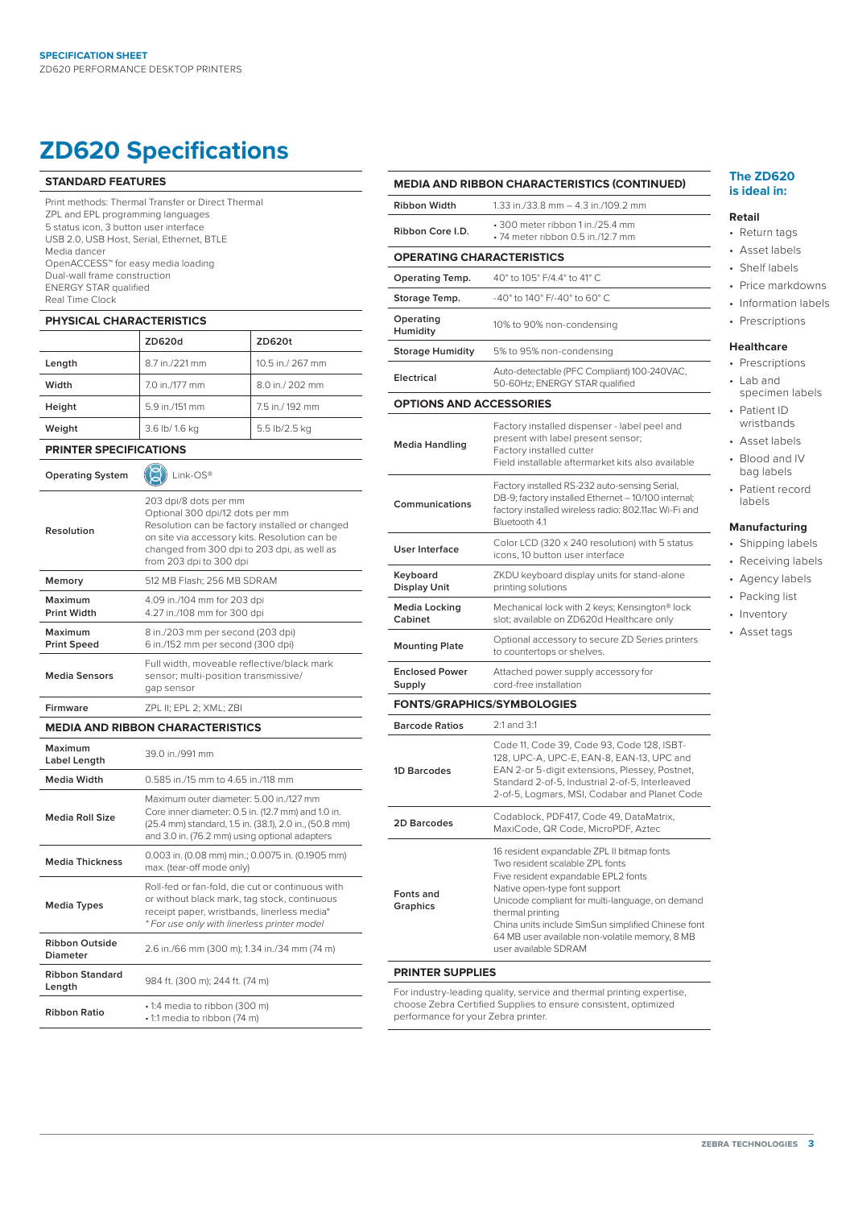## **ZD620 Specifications**

#### **STANDARD FEATURES**

Print methods: Thermal Transfer or Direct Thermal ZPL and EPL programming languages 5 status icon, 3 button user interface USB 2.0, USB Host, Serial, Ethernet, BTLE Media dancer OpenACCESS™ for easy media loading Dual-wall frame construction ENERGY STAR qualified Real Time Clock

#### **PHYSICAL CHARACTERISTICS**

|        | ZD620d         | ZD620t           |
|--------|----------------|------------------|
| Length | 8.7 in./221 mm | 10.5 in./ 267 mm |
| Width  | 7.0 in./177 mm | 8.0 in./ 202 mm  |
| Height | 5.9 in./151 mm | 7.5 in./192 mm   |
| Weight | 3.6 lb/ 1.6 kg | 5.5 lb/2.5 kg    |

**PRINTER SPECIFICATIONS**

| <b>Operating System</b>                  | Link-OS®                                                                                                                                                                                                                              |  |
|------------------------------------------|---------------------------------------------------------------------------------------------------------------------------------------------------------------------------------------------------------------------------------------|--|
| Resolution                               | 203 dpi/8 dots per mm<br>Optional 300 dpi/12 dots per mm<br>Resolution can be factory installed or changed<br>on site via accessory kits. Resolution can be<br>changed from 300 dpi to 203 dpi, as well as<br>from 203 dpi to 300 dpi |  |
| Memory                                   | 512 MB Flash: 256 MB SDRAM                                                                                                                                                                                                            |  |
| Maximum<br><b>Print Width</b>            | 4.09 in./104 mm for 203 dpi<br>4.27 in./108 mm for 300 dpi                                                                                                                                                                            |  |
| Maximum<br><b>Print Speed</b>            | 8 in./203 mm per second (203 dpi)<br>6 in./152 mm per second (300 dpi)                                                                                                                                                                |  |
| <b>Media Sensors</b>                     | Full width, moveable reflective/black mark<br>sensor; multi-position transmissive/<br>gap sensor                                                                                                                                      |  |
| <b>Firmware</b>                          | ZPL II; EPL 2; XML; ZBI                                                                                                                                                                                                               |  |
| <b>MEDIA AND RIBBON CHARACTERISTICS</b>  |                                                                                                                                                                                                                                       |  |
| Maximum<br>Label Length                  | 39.0 in /991 mm                                                                                                                                                                                                                       |  |
| Media Width                              | 0.585 in /15 mm to 4.65 in /118 mm                                                                                                                                                                                                    |  |
| <b>Media Roll Size</b>                   | Maximum outer diameter: 5.00 in /127 mm<br>Core inner diameter: 0.5 in. (12.7 mm) and 1.0 in.<br>(25.4 mm) standard, 1.5 in. (38.1), 2.0 in., (50.8 mm)<br>and 3.0 in. (76.2 mm) using optional adapters                              |  |
| <b>Media Thickness</b>                   | 0.003 in. (0.08 mm) min.; 0.0075 in. (0.1905 mm)<br>max. (tear-off mode only)                                                                                                                                                         |  |
| <b>Media Types</b>                       | Roll-fed or fan-fold, die cut or continuous with<br>or without black mark, tag stock, continuous<br>receipt paper, wristbands, linerless media*<br>* For use only with linerless printer model                                        |  |
| <b>Ribbon Outside</b><br><b>Diameter</b> | 2.6 in./66 mm (300 m); 1.34 in./34 mm (74 m)                                                                                                                                                                                          |  |
| <b>Ribbon Standard</b><br>Length         | 984 ft. (300 m); 244 ft. (74 m)                                                                                                                                                                                                       |  |
| <b>Ribbon Ratio</b>                      | • 1:4 media to ribbon (300 m)<br>• 1:1 media to ribbon (74 m)                                                                                                                                                                         |  |
|                                          |                                                                                                                                                                                                                                       |  |

|                                  | <b>MEDIA AND RIBBON CHARACTERISTICS (CONTINUED)</b>                                                                                                                                                                                                                                                                                                          |  |
|----------------------------------|--------------------------------------------------------------------------------------------------------------------------------------------------------------------------------------------------------------------------------------------------------------------------------------------------------------------------------------------------------------|--|
| <b>Ribbon Width</b>              | 1.33 in./33.8 mm - 4.3 in./109.2 mm                                                                                                                                                                                                                                                                                                                          |  |
| Ribbon Core I.D.                 | • 300 meter ribbon 1 in./25.4 mm<br>• 74 meter ribbon 0.5 in./12.7 mm                                                                                                                                                                                                                                                                                        |  |
| <b>OPERATING CHARACTERISTICS</b> |                                                                                                                                                                                                                                                                                                                                                              |  |
| <b>Operating Temp.</b>           | 40° to 105° F/4.4° to 41° C                                                                                                                                                                                                                                                                                                                                  |  |
| Storage Temp.                    | -40° to 140° F/-40° to 60° C                                                                                                                                                                                                                                                                                                                                 |  |
| Operating<br>Humidity            | 10% to 90% non-condensing                                                                                                                                                                                                                                                                                                                                    |  |
| <b>Storage Humidity</b>          | 5% to 95% non-condensing                                                                                                                                                                                                                                                                                                                                     |  |
| <b>Electrical</b>                | Auto-detectable (PFC Compliant) 100-240VAC,<br>50-60Hz; ENERGY STAR qualified                                                                                                                                                                                                                                                                                |  |
| <b>OPTIONS AND ACCESSORIES</b>   |                                                                                                                                                                                                                                                                                                                                                              |  |
| <b>Media Handling</b>            | Factory installed dispenser - label peel and<br>present with label present sensor;<br>Factory installed cutter<br>Field installable aftermarket kits also available                                                                                                                                                                                          |  |
| Communications                   | Factory installed RS-232 auto-sensing Serial,<br>DB-9; factory installed Ethernet - 10/100 internal;<br>factory installed wireless radio: 802.11ac Wi-Fi and<br>Bluetooth 4.1                                                                                                                                                                                |  |
| <b>User Interface</b>            | Color LCD (320 x 240 resolution) with 5 status<br>icons, 10 button user interface                                                                                                                                                                                                                                                                            |  |
| Keyboard<br><b>Display Unit</b>  | ZKDU keyboard display units for stand-alone<br>printing solutions                                                                                                                                                                                                                                                                                            |  |
| <b>Media Locking</b><br>Cabinet  | Mechanical lock with 2 keys; Kensington® lock<br>slot; available on ZD620d Healthcare only                                                                                                                                                                                                                                                                   |  |
| <b>Mounting Plate</b>            | Optional accessory to secure ZD Series printers<br>to countertops or shelves.                                                                                                                                                                                                                                                                                |  |
| <b>Enclosed Power</b><br>Supply  | Attached power supply accessory for<br>cord-free installation                                                                                                                                                                                                                                                                                                |  |
|                                  | <b>FONTS/GRAPHICS/SYMBOLOGIES</b>                                                                                                                                                                                                                                                                                                                            |  |
| <b>Barcode Ratios</b>            | 2:1 and 3:1                                                                                                                                                                                                                                                                                                                                                  |  |
| 1D Barcodes                      | Code 11, Code 39, Code 93, Code 128, ISBT-<br>128, UPC-A, UPC-E, EAN-8, EAN-13, UPC and<br>EAN 2-or 5-digit extensions, Plessey, Postnet,<br>Standard 2-of-5, Industrial 2-of-5, Interleaved<br>2-of-5, Logmars, MSI, Codabar and Planet Code                                                                                                                |  |
| 2D Barcodes                      | Codablock, PDF417, Code 49, DataMatrix,<br>MaxiCode, QR Code, MicroPDF, Aztec                                                                                                                                                                                                                                                                                |  |
| <b>Fonts and</b><br>Graphics     | 16 resident expandable ZPL II bitmap fonts<br>Two resident scalable ZPL fonts<br>Five resident expandable EPL2 fonts<br>Native open-type font support<br>Unicode compliant for multi-language, on demand<br>thermal printing<br>China units include SimSun simplified Chinese font<br>64 MB user available non-volatile memory, 8 MB<br>user available SDRAM |  |
| <b>PRINTER SUPPLIES</b>          |                                                                                                                                                                                                                                                                                                                                                              |  |
|                                  |                                                                                                                                                                                                                                                                                                                                                              |  |

For industry-leading quality, service and thermal printing expertise, choose Zebra Certified Supplies to ensure consistent, optimized performance for your Zebra printer.

#### **The ZD620 is ideal in:**

#### **Retail**

- Return tags
- Asset labels
- Shelf labels
- Price markdowns
- Information labels
- Prescriptions

## **Healthcare**

- Prescriptions • Lab and
- specimen labels • Patient ID
- wristbands
- Asset labels
- Blood and IV bag labels
- Patient record labels

## **Manufacturing**

- Shipping labels
- Receiving labels
- Agency labels
- Packing list
- Inventory
- Asset tags